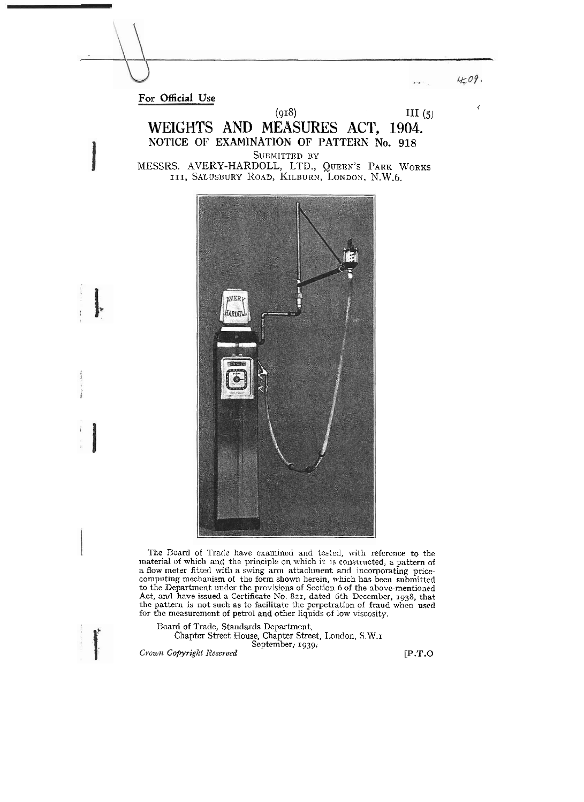4.09.

**For Official Use** 

**(918)** 111 **(5)** , WEIGHTS **AND MEASURES ACT,** 1904. NOTICE OF EXAMINATION OF PATTERN No. 918 SUBMITTED BY MESSRS. AVERY-HARDOLL, LTD., QUEEN'S PARK WORKS **111,** SALUSB~RY ROAD, I<ILBURN, LONDON, N.W.6.



The Board of Trade have examined and tested, with reference to the material of which and the principle on which it is constructed, a pattern of a flow meter fitted with a swing arm attachment and incorporating pricecomputing mechanism of thc form shown herein. which has been submitted to the Department under the provisions of Section 6 of the above-mentioned Act, and have issued a Certificate No. 821, dated 6th December, 1938, that the pattern is not such as to facilitate the perpetration of fraud when used for thc measurcmcnt of petrol and other liquids of low viscosity.

Board of Trade, Standards Department. Chapter Street House, Chapter Street, 1,ondon. S.W.1 September, **1939.** 

**Crozurc** *Copyrigibt Rcsrvved* **[P.T.O**